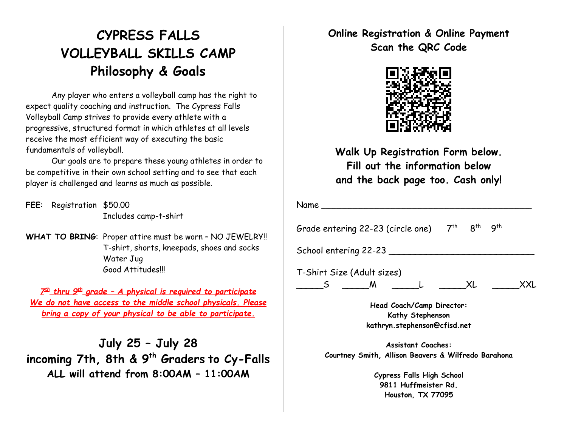## **CYPRESS FALLS VOLLEYBALL SKILLS CAMP Philosophy & Goals**

Any player who enters a volleyball camp has the right to expect quality coaching and instruction. The Cypress Falls Volleyball Camp strives to provide every athlete with a progressive, structured format in which athletes at all levels receive the most efficient way of executing the basic fundamentals of volleyball.

Our goals are to prepare these young athletes in order to be competitive in their own school setting and to see that each player is challenged and learns as much as possible.

**FEE**: Registration \$50.00 Includes camp-t-shirt

**WHAT TO BRING**: Proper attire must be worn – NO JEWELRY!! T-shirt, shorts, kneepads, shoes and socks Water Jug Good Attitudes!!!

*7 th thru 9 th grade – A physical is required to participate We do not have access to the middle school physicals. Please bring a copy of your physical to be able to participate.*

**July 25 – July 28 incoming 7th, 8th & 9 th Graders to Cy-Falls ALL will attend from 8:00AM – 11:00AM**

**Online Registration & Online Payment Scan the QRC Code**



**Walk Up Registration Form below. Fill out the information below and the back page too. Cash only!**

| Name                                          |                 |                 |                 |     |
|-----------------------------------------------|-----------------|-----------------|-----------------|-----|
| Grade entering 22-23 (circle one)             | 7 <sup>th</sup> | $8^{\text{th}}$ | 9 <sup>th</sup> |     |
| School entering 22-23                         |                 |                 |                 |     |
| T-Shirt Size (Adult sizes)<br><b>M</b>        |                 | XL.             |                 | XXL |
| Head Coach/Camp Director:<br>Kathy Stephenson |                 |                 |                 |     |

**kathryn.stephenson@cfisd.net**

**Assistant Coaches: Courtney Smith, Allison Beavers & Wilfredo Barahona**

> **Cypress Falls High School 9811 Huffmeister Rd. Houston, TX 77095**